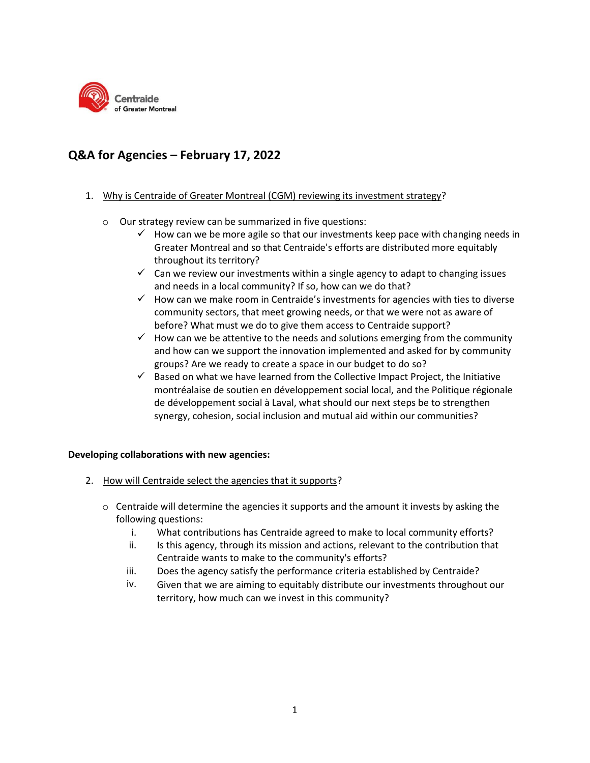

## **Q&A for Agencies – February 17, 2022**

## 1. Why is Centraide of Greater Montreal (CGM) reviewing its investment strategy?

- o Our strategy review can be summarized in five questions:
	- $\checkmark$  How can we be more agile so that our investments keep pace with changing needs in Greater Montreal and so that Centraide's efforts are distributed more equitably throughout its territory?
	- $\checkmark$  Can we review our investments within a single agency to adapt to changing issues and needs in a local community? If so, how can we do that?
	- $\checkmark$  How can we make room in Centraide's investments for agencies with ties to diverse community sectors, that meet growing needs, or that we were not as aware of before? What must we do to give them access to Centraide support?
	- $\checkmark$  How can we be attentive to the needs and solutions emerging from the community and how can we support the innovation implemented and asked for by community groups? Are we ready to create a space in our budget to do so?
	- $\checkmark$  Based on what we have learned from the Collective Impact Project, the Initiative montréalaise de soutien en développement social local, and the Politique régionale de développement social à Laval, what should our next steps be to strengthen synergy, cohesion, social inclusion and mutual aid within our communities?

## **Developing collaborations with new agencies:**

- 2. How will Centraide select the agencies that it supports?
	- $\circ$  Centraide will determine the agencies it supports and the amount it invests by asking the following questions:
		- i. What contributions has Centraide agreed to make to local community efforts?
		- ii. Is this agency, through its mission and actions, relevant to the contribution that Centraide wants to make to the community's efforts?
		- iii. Does the agency satisfy the performance criteria established by Centraide?
		- iv. Given that we are aiming to equitably distribute our investments throughout our territory, how much can we invest in this community?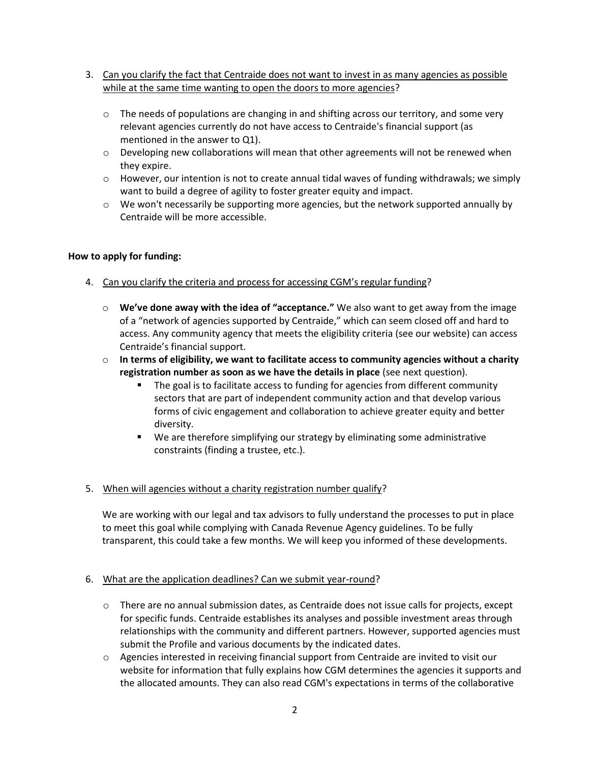- 3. Can you clarify the fact that Centraide does not want to invest in as many agencies as possible while at the same time wanting to open the doors to more agencies?
	- $\circ$  The needs of populations are changing in and shifting across our territory, and some very relevant agencies currently do not have access to Centraide's financial support (as mentioned in the answer to Q1).
	- $\circ$  Developing new collaborations will mean that other agreements will not be renewed when they expire.
	- $\circ$  However, our intention is not to create annual tidal waves of funding withdrawals; we simply want to build a degree of agility to foster greater equity and impact.
	- $\circ$  We won't necessarily be supporting more agencies, but the network supported annually by Centraide will be more accessible.

## **How to apply for funding:**

- 4. Can you clarify the criteria and process for accessing CGM's regular funding?
	- o **We've done away with the idea of "acceptance."** We also want to get away from the image of a "network of agencies supported by Centraide," which can seem closed off and hard to access. Any community agency that meets the eligibility criteria (see our website) can access Centraide's financial support.
	- o **In terms of eligibility, we want to facilitate access to community agencies without a charity registration number as soon as we have the details in place** (see next question).
		- The goal is to facilitate access to funding for agencies from different community sectors that are part of independent community action and that develop various forms of civic engagement and collaboration to achieve greater equity and better diversity.
		- We are therefore simplifying our strategy by eliminating some administrative constraints (finding a trustee, etc.).
- 5. When will agencies without a charity registration number qualify?

We are working with our legal and tax advisors to fully understand the processes to put in place to meet this goal while complying with Canada Revenue Agency guidelines. To be fully transparent, this could take a few months. We will keep you informed of these developments.

## 6. What are the application deadlines? Can we submit year-round?

- o There are no annual submission dates, as Centraide does not issue calls for projects, except for specific funds. Centraide establishes its analyses and possible investment areas through relationships with the community and different partners. However, supported agencies must submit the Profile and various documents by the indicated dates.
- o Agencies interested in receiving financial support from Centraide are invited to visit our website for information that fully explains how CGM determines the agencies it supports and the allocated amounts. They can also read CGM's expectations in terms of the collaborative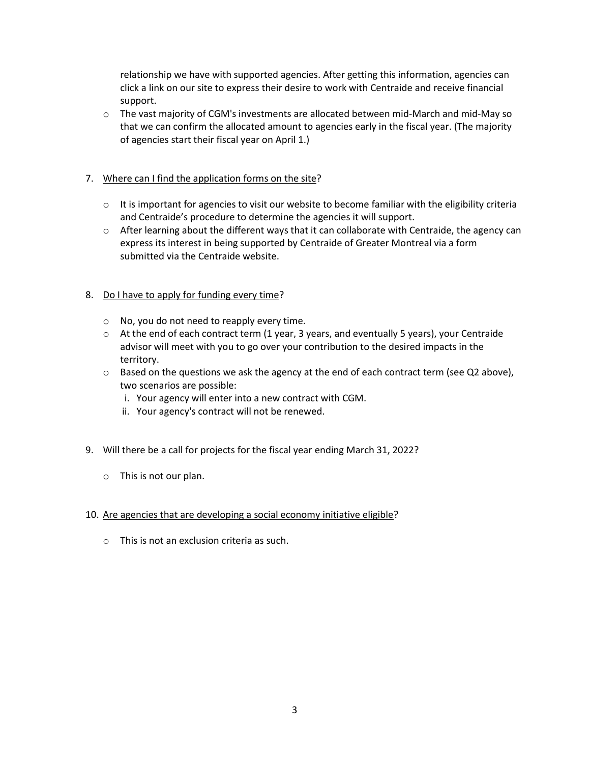relationship we have with supported agencies. After getting this information, agencies can click a link on our site to express their desire to work with Centraide and receive financial support.

 $\circ$  The vast majority of CGM's investments are allocated between mid-March and mid-May so that we can confirm the allocated amount to agencies early in the fiscal year. (The majority of agencies start their fiscal year on April 1.)

## 7. Where can I find the application forms on the site?

- $\circ$  It is important for agencies to visit our website to become familiar with the eligibility criteria and Centraide's procedure to determine the agencies it will support.
- o After learning about the different ways that it can collaborate with Centraide, the agency can express its interest in being supported by Centraide of Greater Montreal via a form submitted via the Centraide website.

## 8. Do I have to apply for funding every time?

- o No, you do not need to reapply every time.
- o At the end of each contract term (1 year, 3 years, and eventually 5 years), your Centraide advisor will meet with you to go over your contribution to the desired impacts in the territory.
- o Based on the questions we ask the agency at the end of each contract term (see Q2 above), two scenarios are possible:
	- i. Your agency will enter into a new contract with CGM.
	- ii. Your agency's contract will not be renewed.

## 9. Will there be a call for projects for the fiscal year ending March 31, 2022?

o This is not our plan.

## 10. Are agencies that are developing a social economy initiative eligible?

o This is not an exclusion criteria as such.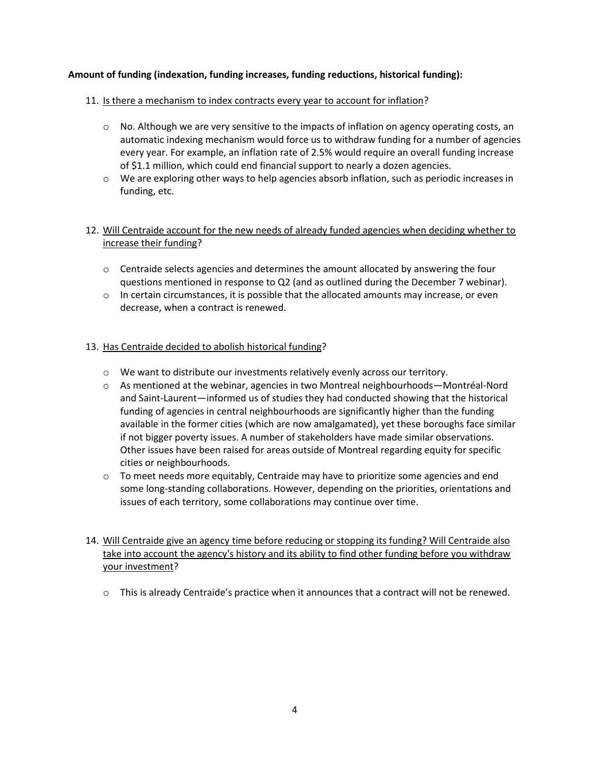## **Amount of funding (indexation, funding increases, funding reductions, historical funding):**

## 11. Is there a mechanism to index contracts every year to account for inflation?

- $\circ$  No. Although we are very sensitive to the impacts of inflation on agency operating costs, an automatic indexing mechanism would force us to withdraw funding for a number of agencies every year. For example, an inflation rate of 2.5% would require an overall funding increase of \$1.1 million, which could end financial support to nearly a dozen agencies.
- o We are exploring other ways to help agencies absorb inflation, such as periodic increases in funding, etc.

## 12. Will Centraide account for the new needs of already funded agencies when deciding whether to increase their funding?

- o Centraide selects agencies and determines the amount allocated by answering the four questions mentioned in response to Q2 (and as outlined during the December 7 webinar).
- $\circ$  In certain circumstances, it is possible that the allocated amounts may increase, or even decrease, when a contract is renewed.

## 13. Has Centraide decided to abolish historical funding?

- o We want to distribute our investments relatively evenly across our territory.
- o As mentioned at the webinar, agencies in two Montreal neighbourhoods—Montréal-Nord and Saint-Laurent—informed us of studies they had conducted showing that the historical funding of agencies in central neighbourhoods are significantly higher than the funding available in the former cities (which are now amalgamated), yet these boroughs face similar if not bigger poverty issues. A number of stakeholders have made similar observations. Other issues have been raised for areas outside of Montreal regarding equity for specific cities or neighbourhoods.
- o To meet needs more equitably, Centraide may have to prioritize some agencies and end some long-standing collaborations. However, depending on the priorities, orientations and issues of each territory, some collaborations may continue over time.
- 14. Will Centraide give an agency time before reducing or stopping its funding? Will Centraide also take into account the agency's history and its ability to find other funding before you withdraw your investment?
	- o This is already Centraide's practice when it announces that a contract will not be renewed.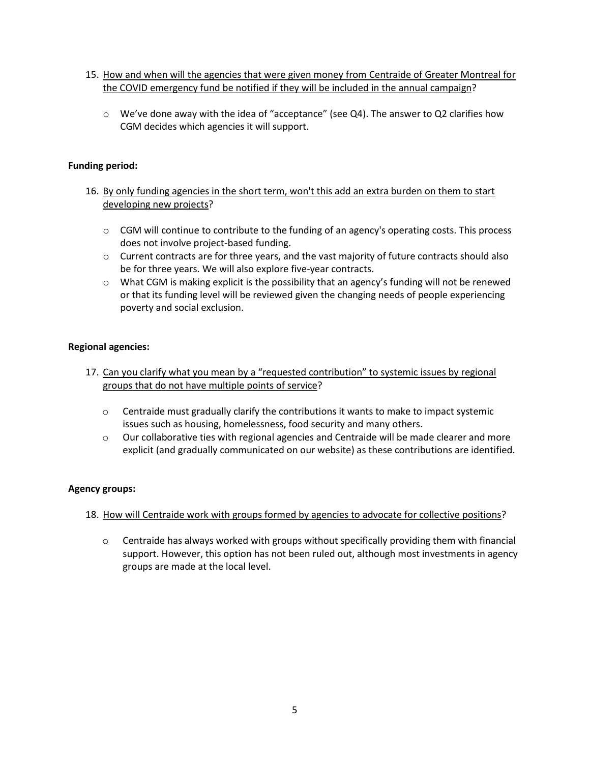- 15. How and when will the agencies that were given money from Centraide of Greater Montreal for the COVID emergency fund be notified if they will be included in the annual campaign?
	- o We've done away with the idea of "acceptance" (see Q4). The answer to Q2 clarifies how CGM decides which agencies it will support.

## **Funding period:**

- 16. By only funding agencies in the short term, won't this add an extra burden on them to start developing new projects?
	- o CGM will continue to contribute to the funding of an agency's operating costs. This process does not involve project-based funding.
	- $\circ$  Current contracts are for three years, and the vast majority of future contracts should also be for three years. We will also explore five-year contracts.
	- $\circ$  What CGM is making explicit is the possibility that an agency's funding will not be renewed or that its funding level will be reviewed given the changing needs of people experiencing poverty and social exclusion.

## **Regional agencies:**

- 17. Can you clarify what you mean by a "requested contribution" to systemic issues by regional groups that do not have multiple points of service?
	- $\circ$  Centraide must gradually clarify the contributions it wants to make to impact systemic issues such as housing, homelessness, food security and many others.
	- o Our collaborative ties with regional agencies and Centraide will be made clearer and more explicit (and gradually communicated on our website) as these contributions are identified.

## **Agency groups:**

## 18. How will Centraide work with groups formed by agencies to advocate for collective positions?

 $\circ$  Centraide has always worked with groups without specifically providing them with financial support. However, this option has not been ruled out, although most investments in agency groups are made at the local level.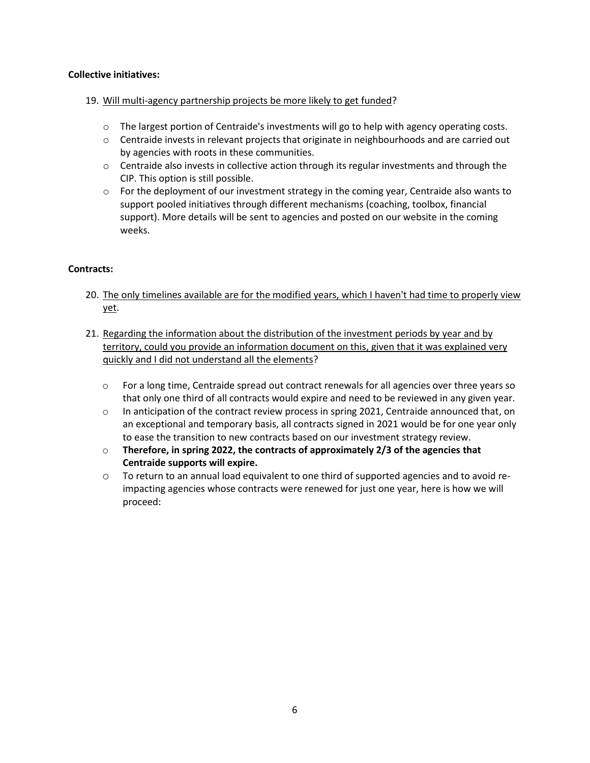## **Collective initiatives:**

## 19. Will multi-agency partnership projects be more likely to get funded?

- o The largest portion of Centraide's investments will go to help with agency operating costs.
- o Centraide invests in relevant projects that originate in neighbourhoods and are carried out by agencies with roots in these communities.
- $\circ$  Centraide also invests in collective action through its regular investments and through the CIP. This option is still possible.
- $\circ$  For the deployment of our investment strategy in the coming year, Centraide also wants to support pooled initiatives through different mechanisms (coaching, toolbox, financial support). More details will be sent to agencies and posted on our website in the coming weeks.

## **Contracts:**

- 20. The only timelines available are for the modified years, which I haven't had time to properly view yet.
- 21. Regarding the information about the distribution of the investment periods by year and by territory, could you provide an information document on this, given that it was explained very quickly and I did not understand all the elements?
	- o For a long time, Centraide spread out contract renewals for all agencies over three years so that only one third of all contracts would expire and need to be reviewed in any given year.
	- o In anticipation of the contract review process in spring 2021, Centraide announced that, on an exceptional and temporary basis, all contracts signed in 2021 would be for one year only to ease the transition to new contracts based on our investment strategy review.
	- o **Therefore, in spring 2022, the contracts of approximately 2/3 of the agencies that Centraide supports will expire.**
	- o To return to an annual load equivalent to one third of supported agencies and to avoid reimpacting agencies whose contracts were renewed for just one year, here is how we will proceed: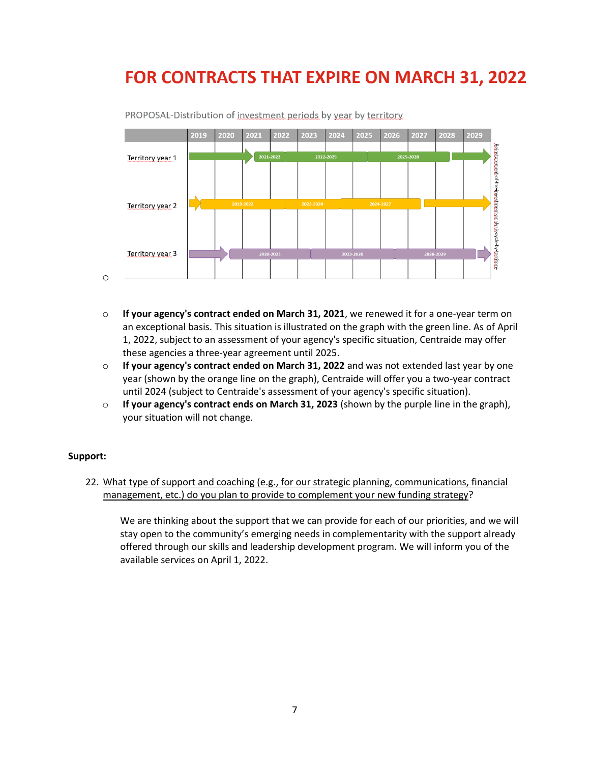# FOR CONTRACTS THAT EXPIRE ON MARCH 31, 2022



PROPOSAL-Distribution of investment periods by year by territory

- o **If your agency's contract ended on March 31, 2021**, we renewed it for a one-year term on an exceptional basis. This situation is illustrated on the graph with the green line. As of April 1, 2022, subject to an assessment of your agency's specific situation, Centraide may offer these agencies a three-year agreement until 2025.
- o **If your agency's contract ended on March 31, 2022** and was not extended last year by one year (shown by the orange line on the graph), Centraide will offer you a two-year contract until 2024 (subject to Centraide's assessment of your agency's specific situation).
- o **If your agency's contract ends on March 31, 2023** (shown by the purple line in the graph), your situation will not change.

#### **Support:**

22. What type of support and coaching (e.g., for our strategic planning, communications, financial management, etc.) do you plan to provide to complement your new funding strategy?

We are thinking about the support that we can provide for each of our priorities, and we will stay open to the community's emerging needs in complementarity with the support already offered through our skills and leadership development program. We will inform you of the available services on April 1, 2022.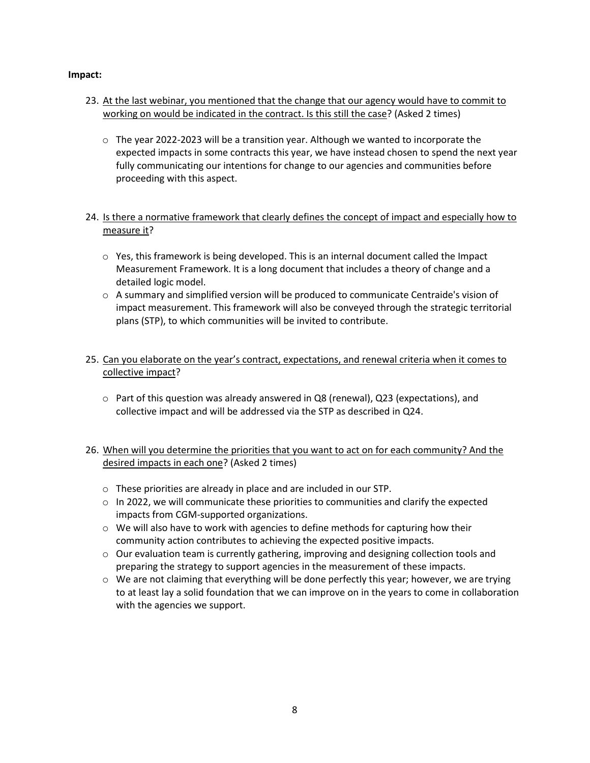## **Impact:**

- 23. At the last webinar, you mentioned that the change that our agency would have to commit to working on would be indicated in the contract. Is this still the case? (Asked 2 times)
	- $\circ$  The year 2022-2023 will be a transition year. Although we wanted to incorporate the expected impacts in some contracts this year, we have instead chosen to spend the next year fully communicating our intentions for change to our agencies and communities before proceeding with this aspect.
- 24. Is there a normative framework that clearly defines the concept of impact and especially how to measure it?
	- $\circ$  Yes, this framework is being developed. This is an internal document called the Impact Measurement Framework. It is a long document that includes a theory of change and a detailed logic model.
	- $\circ$  A summary and simplified version will be produced to communicate Centraide's vision of impact measurement. This framework will also be conveyed through the strategic territorial plans (STP), to which communities will be invited to contribute.
- 25. Can you elaborate on the year's contract, expectations, and renewal criteria when it comes to collective impact?
	- $\circ$  Part of this question was already answered in Q8 (renewal), Q23 (expectations), and collective impact and will be addressed via the STP as described in Q24.
- 26. When will you determine the priorities that you want to act on for each community? And the desired impacts in each one? (Asked 2 times)
	- o These priorities are already in place and are included in our STP.
	- $\circ$  In 2022, we will communicate these priorities to communities and clarify the expected impacts from CGM-supported organizations.
	- $\circ$  We will also have to work with agencies to define methods for capturing how their community action contributes to achieving the expected positive impacts.
	- $\circ$  Our evaluation team is currently gathering, improving and designing collection tools and preparing the strategy to support agencies in the measurement of these impacts.
	- $\circ$  We are not claiming that everything will be done perfectly this year; however, we are trying to at least lay a solid foundation that we can improve on in the years to come in collaboration with the agencies we support.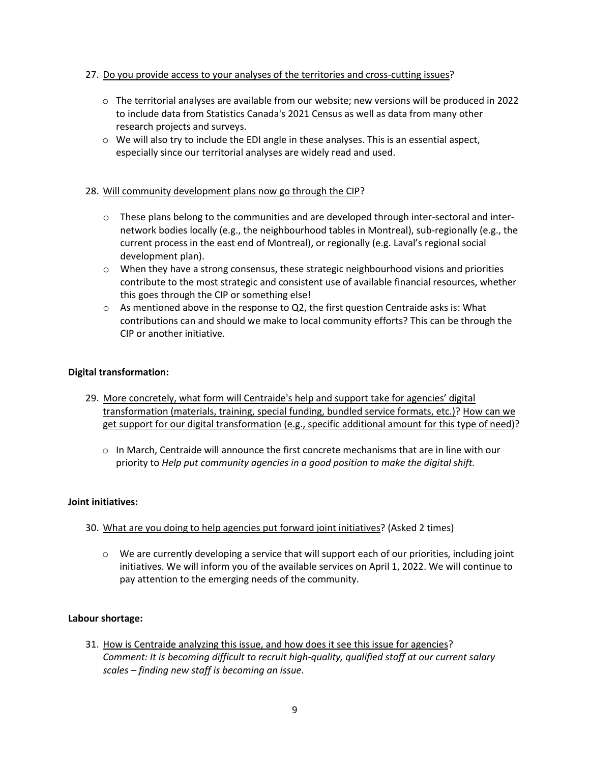## 27. Do you provide access to your analyses of the territories and cross-cutting issues?

- o The territorial analyses are available from our website; new versions will be produced in 2022 to include data from Statistics Canada's 2021 Census as well as data from many other research projects and surveys.
- $\circ$  We will also try to include the EDI angle in these analyses. This is an essential aspect, especially since our territorial analyses are widely read and used.

#### 28. Will community development plans now go through the CIP?

- o These plans belong to the communities and are developed through inter-sectoral and internetwork bodies locally (e.g., the neighbourhood tables in Montreal), sub-regionally (e.g., the current process in the east end of Montreal), or regionally (e.g. Laval's regional social development plan).
- $\circ$  When they have a strong consensus, these strategic neighbourhood visions and priorities contribute to the most strategic and consistent use of available financial resources, whether this goes through the CIP or something else!
- $\circ$  As mentioned above in the response to Q2, the first question Centraide asks is: What contributions can and should we make to local community efforts? This can be through the CIP or another initiative.

#### **Digital transformation:**

- 29. More concretely, what form will Centraide's help and support take for agencies' digital transformation (materials, training, special funding, bundled service formats, etc.)? How can we get support for our digital transformation (e.g., specific additional amount for this type of need)?
	- o In March, Centraide will announce the first concrete mechanisms that are in line with our priority to *Help put community agencies in a good position to make the digital shift.*

#### **Joint initiatives:**

- 30. What are you doing to help agencies put forward joint initiatives? (Asked 2 times)
	- $\circ$  We are currently developing a service that will support each of our priorities, including joint initiatives. We will inform you of the available services on April 1, 2022. We will continue to pay attention to the emerging needs of the community.

## **Labour shortage:**

31. How is Centraide analyzing this issue, and how does it see this issue for agencies? *Comment: It is becoming difficult to recruit high-quality, qualified staff at our current salary scales – finding new staff is becoming an issue*.